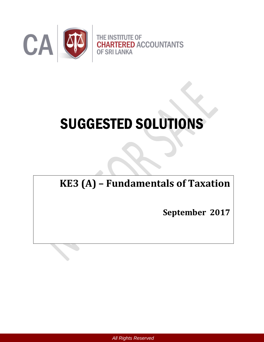

# SUGGESTED SOLUTIONS

# **KE3 (A) – Fundamentals of Taxation**

**September 2017**

*All Rights Reserved*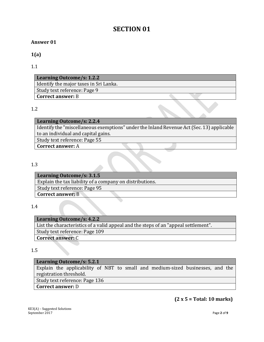# **SECTION 01**

#### **Answer 01**

**1(a)**

1.1

| Learning Outcome/s: 1.2.2                |  |
|------------------------------------------|--|
| I Identify the major taxes in Sri Lanka. |  |
| Study text reference: Page 9             |  |
| <b>Correct answer: B</b>                 |  |

#### 1.2

| Learning Outcome/s: 2.2.4                                                                 |
|-------------------------------------------------------------------------------------------|
| Identify the "miscellaneous exemptions" under the Inland Revenue Act (Sec. 13) applicable |
| to an individual and capital gains.                                                       |
| Study text reference: Page 55                                                             |
| <b>Correct answer: A</b>                                                                  |

#### 1.3

| Learning Outcome/s: 3.1.5                                |
|----------------------------------------------------------|
| Explain the tax liability of a company on distributions. |
| Study text reference: Page 95                            |
| <b>Correct answer: B</b>                                 |
|                                                          |

1.4

| Learning Outcome/s: 4.2.2                                                           |
|-------------------------------------------------------------------------------------|
| List the characteristics of a valid appeal and the steps of an "appeal settlement". |
| Study text reference: Page 109                                                      |
| <b>Correct answer: C</b>                                                            |

#### 1.5

| <b>Learning Outcome/s: 5.2.1</b>                                               |  |  |
|--------------------------------------------------------------------------------|--|--|
| Explain the applicability of NBT to small and medium-sized businesses, and the |  |  |
| registration threshold.                                                        |  |  |
| Study text reference: Page 136                                                 |  |  |
| <b>Correct answer: D</b>                                                       |  |  |

#### **(2 x 5 = Total: 10 marks)**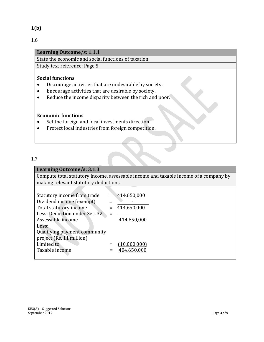#### **1(b)**

1.6

#### **Learning Outcome/s: 1.1.1**

State the economic and social functions of taxation.

Study text reference: Page 5

#### **Social functions**

- Discourage activities that are undesirable by society.
- Encourage activities that are desirable by society.
- Reduce the income disparity between the rich and poor.

#### **Economic functions**

- Set the foreign and local investments direction.
- Protect local industries from foreign competition.

#### 1.7

#### **Learning Outcome/s: 3.1.3**

Compute total statutory income, assessable income and taxable income of a company by making relevant statutory deductions.

| Statutory income from trade   |     | 414,650,000  |
|-------------------------------|-----|--------------|
| Dividend income (exempt)      |     |              |
| Total statutory income        | $=$ | 414,650,000  |
| Less: Deduction under Sec. 32 |     |              |
| Assessable income             |     | 414,650,000  |
| Less:                         |     |              |
| Qualifying payment community  |     |              |
| project (Rs. 11 million)      |     |              |
| Limited to                    |     | (10,000,000) |
| Taxable income                |     | 404,650,000  |
|                               |     |              |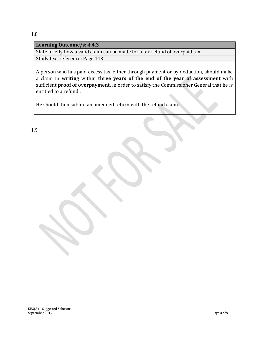#### 1.8

#### **Learning Outcome/s: 4.4.3**

State briefly how a valid claim can be made for a tax refund of overpaid tax.

Study text reference: Page 113

A person who has paid excess tax, either through payment or by deduction, should make a claim in **writing** within **three years of the end of the year of assessment** with sufficient **proof of overpayment,** in order to satisfy the Commissioner General that he is entitled to a refund .

He should then submit an amended return with the refund claim.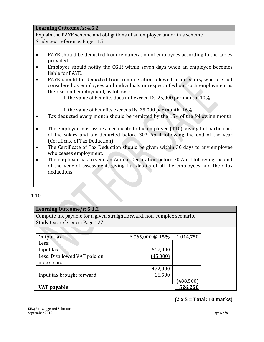#### **Learning Outcome/s: 4.5.2**

Explain the PAYE scheme and obligations of an employer under this scheme.

Study text reference: Page 115

- PAYE should be deducted from remuneration of employees according to the tables provided.
- Employer should notify the CGIR within seven days when an employee becomes liable for PAYE.
- PAYE should be deducted from remuneration allowed to directors, who are not considered as employees and individuals in respect of whom such employment is their second employment, as follows:
	- If the value of benefits does not exceed Rs. 25,000 per month: 10%
	- If the value of benefits exceeds Rs. 25,000 per month: 16%
- $\bullet$  Tax deducted every month should be remitted by the 15<sup>th</sup> of the following month.
- The employer must issue a certificate to the employee (T10), giving full particulars of the salary and tax deducted before 30th April following the end of the year (Certificate of Tax Deduction).
- The Certificate of Tax Deduction should be given within 30 days to any employee who ceases employment.
- The employer has to send an Annual Declaration before 30 April following the end of the year of assessment, giving full details of all the employees and their tax deductions.

#### 1.10

#### **Learning Outcome/s: 5.1.2**

Compute tax payable for a given straightforward, non-complex scenario.

Study text reference: Page 127

| Output tax                   | 6,765,000 @ $15%$ | 1,014,750 |
|------------------------------|-------------------|-----------|
| Less:                        |                   |           |
| Input tax                    | 517,000           |           |
| Less: Disallowed VAT paid on | (45,000)          |           |
| motor cars                   |                   |           |
|                              | 472,000           |           |
| Input tax brought forward    | 16,500            |           |
|                              |                   | 1488,500  |
| VAT payable                  |                   | 526,250   |

#### **(2 x 5 = Total: 10 marks)**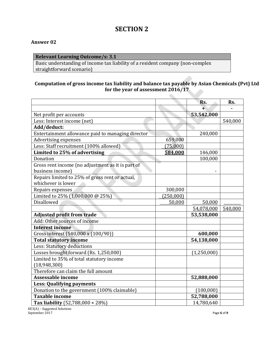## **SECTION 2**

#### **Answer 02**

#### **Relevant Learning Outcome/s: 3.1**

Basic understanding of income tax liability of a resident company (non-complex straightforward scenario)

#### **Computation of gross income tax liability and balance tax payable by Asian Chemicals (Pvt) Ltd for the year of assessment 2016/17**

|                                                   |           | Rs.         | Rs.     |
|---------------------------------------------------|-----------|-------------|---------|
|                                                   |           | ∓           |         |
| Net profit per accounts                           |           | 53,542,000  |         |
| Less: Interest income (net)                       |           |             | 540,000 |
| Add/deduct:                                       |           |             |         |
| Entertainment allowance paid to managing director |           | 240,000     |         |
| Advertising expenses                              | 659,000   |             |         |
| Less: Staff recruitment (100% allowed)            | (75,000)  |             |         |
| Limited to 25% of advertising                     | 584,000   | 146,000     |         |
| Donation                                          |           | 100,000     |         |
| Gross rent income (no adjustment as it is part of |           |             |         |
| business income)                                  |           |             |         |
| Repairs limited to 25% of gross rent or actual,   |           |             |         |
| whichever is lower                                |           |             |         |
| Repairs expenses                                  | 300,000   |             |         |
| Limited to 25% (1,000,000 @ 25%)                  | (250,000) |             |         |
| Disallowed                                        | 50,000    | 50,000      |         |
|                                                   |           | 54,078,000  | 540,000 |
| <b>Adjusted profit from trade</b>                 |           | 53,538,000  |         |
| Add: Other sources of income                      |           |             |         |
| <b>Interest income</b>                            |           |             |         |
| Gross interest (540,000 x (100/90))               |           | 600,000     |         |
| <b>Total statutory income</b>                     |           | 54,138,000  |         |
| Less: Statutory deductions                        |           |             |         |
| Losses brought forward (Rs. 1,250,000)            |           | (1,250,000) |         |
| Limited to 35% of total statutory income          |           |             |         |
| (18, 948, 300)                                    |           |             |         |
| Therefore can claim the full amount               |           |             |         |
| Assessable income                                 |           | 52,888,000  |         |
| <b>Less: Qualifying payments</b>                  |           |             |         |
| Donation to the government (100% claimable)       |           | (100,000)   |         |
| <b>Taxable income</b>                             |           | 52,788,000  |         |
| Tax liability $(52,788,000 \times 28\%)$          |           | 14,780,640  |         |

KE3(A) – Suggested Solutions September 2017 Page 6 of 9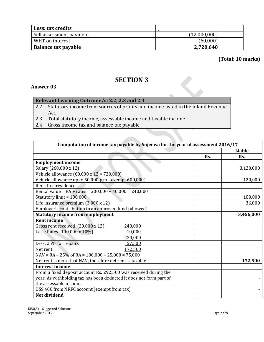| Less: tax credits       |              |  |
|-------------------------|--------------|--|
| Self assessment payment | (12,000,000) |  |
| WHT on interest         | (60,000)     |  |
| Balance tax payable     | 2,720,640    |  |

**(Total: 10 marks)**

## **SECTION 3**

#### **Answer 03**

#### **Relevant Learning Outcome/s: 2.2, 2.3 and 2.4**

- 2.2 Statutory income from sources of profits and income listed in the Inland Revenue Act.<br>2.3 Tota
- Total statutory income, assessable income and taxable income.
- 2.4 Gross income tax and balance tax payable.

| Computation of income tax payable by Sujeewa for the year of assessment 2016/17 |     |           |  |
|---------------------------------------------------------------------------------|-----|-----------|--|
|                                                                                 |     | Liable    |  |
|                                                                                 | Rs. | Rs.       |  |
| <b>Employment income</b>                                                        |     |           |  |
| Salary (260,000 x 12)                                                           |     | 3,120,000 |  |
| Vehicle allowance (60,000 x 12 = 720,000)                                       |     |           |  |
| Vehicle allowance up to 50,000 p.m. (exempt 600,000)                            |     | 120,000   |  |
| Rent-free residence                                                             |     |           |  |
| Rental value = $RA + rates = 200,000 + 40,000 = 240,000$                        |     |           |  |
| Statutory limit = 180,000                                                       |     | 180,000   |  |
| Life insurance premium $(3,000 \times 12)$                                      |     | 36,000    |  |
| Employer's contribution to an approved fund (allowed)                           |     |           |  |
| <b>Statutory income from employment</b>                                         |     | 3,456,000 |  |
| <b>Rent income</b>                                                              |     |           |  |
| Gross rent received (20,000 x 12)<br>240,000                                    |     |           |  |
| Less: Rates (100,000 x 10%)<br>10,000                                           |     |           |  |
| 230,000                                                                         |     |           |  |
| Less: 25% for repairs<br>57,500                                                 |     |           |  |
| 172,500<br>Net rent                                                             |     |           |  |
| $NAV = RA - 25\%$ of RA = 100,000 - 25,000 = 75,000                             |     |           |  |
| Net rent is more that NAV, therefore net rent is taxable                        |     | 172,500   |  |
| <b>Interest income</b>                                                          |     |           |  |
| From a fixed deposit account Rs. 292,500 was received during the                |     |           |  |
| year. As withholding tax has been deducted it does not form part of             |     |           |  |
| the assessable income.                                                          |     |           |  |
| US\$ 400 from NRFC account (exempt from tax)                                    |     |           |  |
| Net dividend                                                                    |     |           |  |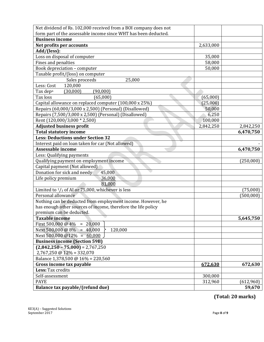| Net dividend of Rs. 102,000 received from a BOI company does not |           |           |
|------------------------------------------------------------------|-----------|-----------|
| form part of the assessable income since WHT has been deducted.  |           |           |
| <b>Business income</b>                                           |           |           |
| Net profits per accounts                                         | 2,633,000 |           |
| Add/(less):                                                      |           |           |
| Loss on disposal of computer                                     | 35,000    |           |
| Fines and penalties                                              | 58,000    |           |
| Book depreciation - computer                                     | 50,000    |           |
| Taxable profit/(loss) on computer                                |           |           |
| Sales proceeds<br>25,000                                         |           |           |
| Less: Cost<br>120,000                                            |           |           |
| (90,000)<br>Tax dep <sup>n</sup><br>(30,000)                     |           |           |
| Tax loss<br>(65,000)                                             | (65,000)  |           |
| Capital allowance on replaced computer (100,000 x 25%)           | (25,000)  |           |
| Repairs (60,000/3,000 x 2,500) (Personal) (Disallowed)           | 50,000    |           |
| Repairs (7,500/3,000 x 2,500) (Personal) (Disallowed)            | 6,250     |           |
| Rent (120,000/3,000 * 2,500)                                     | 100,000   |           |
| <b>Adjusted business profit</b>                                  | 2,842,250 | 2,842,250 |
| <b>Total statutory income</b>                                    |           | 6,470,750 |
| <b>Less: Deductions under Section 32</b>                         |           |           |
| Interest paid on loan taken for car (Not allowed)                |           |           |
| Assessable income                                                |           | 6,470,750 |
| Less: Qualifying payments                                        |           |           |
| Qualifying payment on employment income                          |           | (250,000) |
| Capital payment (Not allowed)                                    |           |           |
| Donation for sick and needy<br>45,000                            |           |           |
| Life policy premium<br>36,000                                    |           |           |
| 81,000                                                           |           |           |
| Limited to $\frac{1}{3}$ of AI or 75,000, whichever is less      |           | (75,000)  |
| Personal allowance                                               |           | (500,000) |
| Nothing can be deducted from employment income. However, he      |           |           |
| has enough other sources of income, therefore the life policy    |           |           |
| premium can be deducted.                                         |           |           |
| <b>Taxable income</b>                                            |           | 5,645,750 |
| First 500,000 @ $4\% = 20,000$                                   |           |           |
| Next 500,000 @ $8\% = 40,000$<br>120,000                         |           |           |
| Next 500,000 $@12\% = 60,000$                                    |           |           |
| <b>Business income (Section 59B)</b>                             |           |           |
| $(2,842,250 - 75,000) = 2,767,250$                               |           |           |
| $2,767,250 \text{ @ } 12\% = 332,070$                            |           |           |
| Balance 1,378,500 @ 16% = 220,560                                |           |           |
| Gross income tax payable                                         | 672,630   | 672,630   |
| Less: Tax credits                                                |           |           |
| Self-assessment                                                  | 300,000   |           |
| <b>PAYE</b>                                                      | 312,960   | (612,960) |
| Balance tax payable/(refund due)                                 |           | 59,670    |

**(Total: 20 marks)**